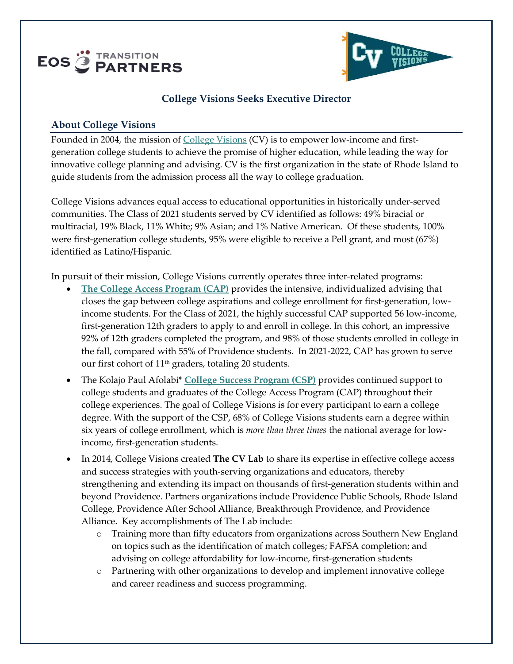



### **College Visions Seeks Executive Director**

#### **About College Visions**

Founded in 2004, the mission of [College Visions](https://collegevisions.org/programs/cv-lab/) (CV) is to empower low-income and firstgeneration college students to achieve the promise of higher education, while leading the way for innovative college planning and advising. CV is the first organization in the state of Rhode Island to guide students from the admission process all the way to college graduation.

College Visions advances equal access to educational opportunities in historically under-served communities. The Class of 2021 students served by CV identified as follows: 49% biracial or multiracial, 19% Black, 11% White; 9% Asian; and 1% Native American. Of these students, 100% were first-generation college students, 95% were eligible to receive a Pell grant, and most (67%) identified as Latino/Hispanic.

In pursuit of their mission, College Visions currently operates three inter-related programs:

- **[The College Access Program \(CAP\)](https://collegevisions.org/programs/college-access/)** provides the intensive, individualized advising that closes the gap between college aspirations and college enrollment for first-generation, lowincome students. For the Class of 2021, the highly successful CAP supported 56 low-income, first-generation 12th graders to apply to and enroll in college. In this cohort, an impressive 92% of 12th graders completed the program, and 98% of those students enrolled in college in the fall, compared with 55% of Providence students. In 2021-2022, CAP has grown to serve our first cohort of 11th graders, totaling 20 students.
- The Kolajo Paul Afolabi\* **[College Success Program \(CSP\)](https://collegevisions.org/programs/college-success/)** provides continued support to college students and graduates of the College Access Program (CAP) throughout their college experiences. The goal of College Visions is for every participant to earn a college degree. With the support of the CSP, 68% of College Visions students earn a degree within six years of college enrollment, which is *more than three times* the national average for lowincome, first-generation students.
- In 2014, College Visions created **The CV Lab** to share its expertise in effective college access and success strategies with youth-serving organizations and educators, thereby strengthening and extending its impact on thousands of first-generation students within and beyond Providence. Partners organizations include Providence Public Schools, Rhode Island College, Providence After School Alliance, Breakthrough Providence, and Providence Alliance. Key accomplishments of The Lab include:
	- o Training more than fifty educators from organizations across Southern New England on topics such as the identification of match colleges; FAFSA completion; and advising on college affordability for low-income, first-generation students
	- o Partnering with other organizations to develop and implement innovative college and career readiness and success programming.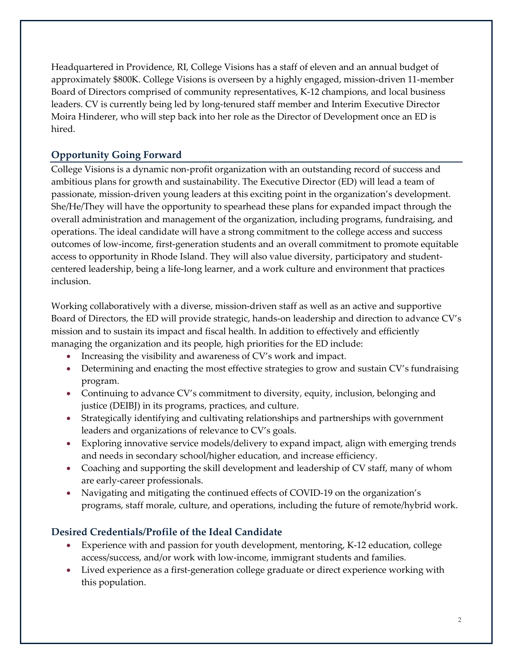Headquartered in Providence, RI, College Visions has a staff of eleven and an annual budget of approximately \$800K. College Visions is overseen by a highly engaged, mission-driven 11-member Board of Directors comprised of community representatives, K-12 champions, and local business leaders. CV is currently being led by long-tenured staff member and Interim Executive Director Moira Hinderer, who will step back into her role as the Director of Development once an ED is hired.

# **Opportunity Going Forward**

College Visions is a dynamic non-profit organization with an outstanding record of success and ambitious plans for growth and sustainability. The Executive Director (ED) will lead a team of passionate, mission-driven young leaders at this exciting point in the organization's development. She/He/They will have the opportunity to spearhead these plans for expanded impact through the overall administration and management of the organization, including programs, fundraising, and operations. The ideal candidate will have a strong commitment to the college access and success outcomes of low-income, first-generation students and an overall commitment to promote equitable access to opportunity in Rhode Island. They will also value diversity, participatory and studentcentered leadership, being a life-long learner, and a work culture and environment that practices inclusion.

Working collaboratively with a diverse, mission-driven staff as well as an active and supportive Board of Directors, the ED will provide strategic, hands-on leadership and direction to advance CV's mission and to sustain its impact and fiscal health. In addition to effectively and efficiently managing the organization and its people, high priorities for the ED include:

- Increasing the visibility and awareness of CV's work and impact.
- Determining and enacting the most effective strategies to grow and sustain CV's fundraising program.
- Continuing to advance CV's commitment to diversity, equity, inclusion, belonging and justice (DEIBJ) in its programs, practices, and culture.
- Strategically identifying and cultivating relationships and partnerships with government leaders and organizations of relevance to CV's goals.
- Exploring innovative service models/delivery to expand impact, align with emerging trends and needs in secondary school/higher education, and increase efficiency.
- Coaching and supporting the skill development and leadership of CV staff, many of whom are early-career professionals.
- Navigating and mitigating the continued effects of COVID-19 on the organization's programs, staff morale, culture, and operations, including the future of remote/hybrid work.

# **Desired Credentials/Profile of the Ideal Candidate**

- Experience with and passion for youth development, mentoring, K-12 education, college access/success, and/or work with low-income, immigrant students and families.
- Lived experience as a first-generation college graduate or direct experience working with this population.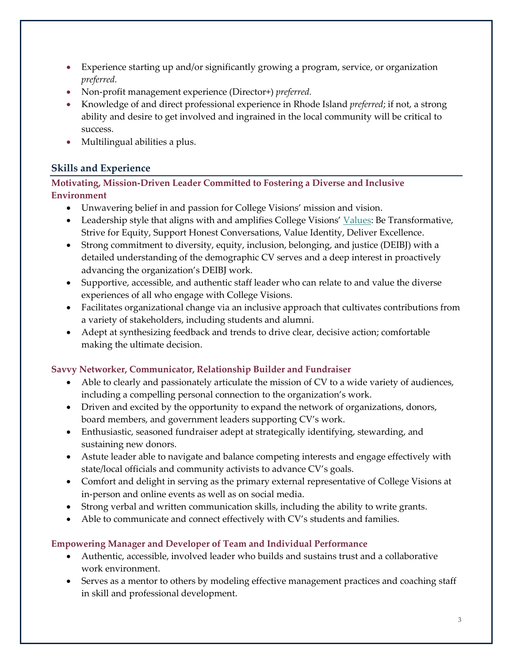- Experience starting up and/or significantly growing a program, service, or organization *preferred.*
- Non-profit management experience (Director+) *preferred.*
- Knowledge of and direct professional experience in Rhode Island *preferred*; if not, a strong ability and desire to get involved and ingrained in the local community will be critical to success.
- Multilingual abilities a plus.

# **Skills and Experience**

### **Motivating, Mission-Driven Leader Committed to Fostering a Diverse and Inclusive Environment**

- Unwavering belief in and passion for College Visions' mission and vision.
- Leadership style that aligns with and amplifies College Visions' [Values:](https://collegevisions.org/about-us/values/) Be Transformative, Strive for Equity, Support Honest Conversations, Value Identity, Deliver Excellence.
- Strong commitment to diversity, equity, inclusion, belonging, and justice (DEIBJ) with a detailed understanding of the demographic CV serves and a deep interest in proactively advancing the organization's DEIBJ work.
- Supportive, accessible, and authentic staff leader who can relate to and value the diverse experiences of all who engage with College Visions.
- Facilitates organizational change via an inclusive approach that cultivates contributions from a variety of stakeholders, including students and alumni.
- Adept at synthesizing feedback and trends to drive clear, decisive action; comfortable making the ultimate decision.

#### **Savvy Networker, Communicator, Relationship Builder and Fundraiser**

- Able to clearly and passionately articulate the mission of CV to a wide variety of audiences, including a compelling personal connection to the organization's work.
- Driven and excited by the opportunity to expand the network of organizations, donors, board members, and government leaders supporting CV's work.
- Enthusiastic, seasoned fundraiser adept at strategically identifying, stewarding, and sustaining new donors.
- Astute leader able to navigate and balance competing interests and engage effectively with state/local officials and community activists to advance CV's goals.
- Comfort and delight in serving as the primary external representative of College Visions at in-person and online events as well as on social media.
- Strong verbal and written communication skills, including the ability to write grants.
- Able to communicate and connect effectively with CV's students and families.

#### **Empowering Manager and Developer of Team and Individual Performance**

- Authentic, accessible, involved leader who builds and sustains trust and a collaborative work environment.
- Serves as a mentor to others by modeling effective management practices and coaching staff in skill and professional development.